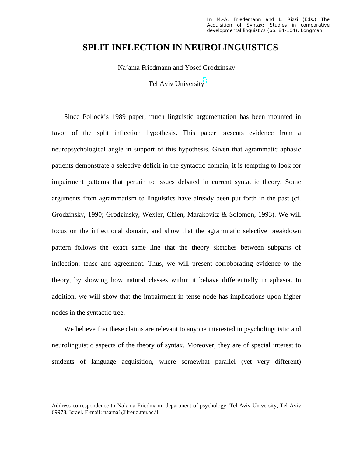# **SPLIT INFLECTION IN NEUROLINGUISTICS**

Na'ama Friedmann and Yosef Grodzinsky

Tel Aviv University

Since Pollock's 1989 paper, much linguistic argumentation has been mounted in favor of the split inflection hypothesis. This paper presents evidence from a neuropsychological angle in support of this hypothesis. Given that agrammatic aphasic patients demonstrate a selective deficit in the syntactic domain, it is tempting to look for impairment patterns that pertain to issues debated in current syntactic theory. Some arguments from agrammatism to linguistics have already been put forth in the past (cf. Grodzinsky, 1990; Grodzinsky, Wexler, Chien, Marakovitz & Solomon, 1993). We will focus on the inflectional domain, and show that the agrammatic selective breakdown pattern follows the exact same line that the theory sketches between subparts of inflection: tense and agreement. Thus, we will present corroborating evidence to the theory, by showing how natural classes within it behave differentially in aphasia. In addition, we will show that the impairment in tense node has implications upon higher nodes in the syntactic tree.

We believe that these claims are relevant to anyone interested in psycholinguistic and neurolinguistic aspects of the theory of syntax. Moreover, they are of special interest to students of language acquisition, where somewhat parallel (yet very different)

Address correspondence to Na'ama Friedmann, department of psychology, Tel-Aviv University, Tel Aviv 69978, Israel. E-mail: naama1@freud.tau.ac.il.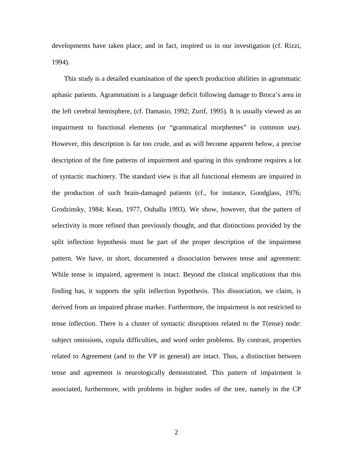developments have taken place, and in fact, inspired us in our investigation (cf. Rizzi, 1994).

This study is a detailed examination of the speech production abilities in agrammatic aphasic patients. Agrammatism is a language deficit following damage to Broca's area in the left cerebral hemisphere, (cf. Damasio, 1992; Zurif, 1995). It is usually viewed as an impairment to functional elements (or "grammatical morphemes" in common use). However, this description is far too crude, and as will become apparent below, a precise description of the fine patterns of impairment and sparing in this syndrome requires a lot of syntactic machinery. The standard view is that all functional elements are impaired in the production of such brain-damaged patients (cf., for instance, Goodglass, 1976; Grodzinsky, 1984; Kean, 1977, Ouhalla 1993). We show, however, that the pattern of selectivity is more refined than previously thought, and that distinctions provided by the split inflection hypothesis must be part of the proper description of the impairment pattern. We have, in short, documented a dissociation between tense and agreement: While tense is impaired, agreement is intact. Beyond the clinical implications that this finding has, it supports the split inflection hypothesis. This dissociation, we claim, is derived from an impaired phrase marker. Furthermore, the impairment is not restricted to tense inflection. There is a cluster of syntactic disruptions related to the T(ense) node: subject omissions, copula difficulties, and word order problems. By contrast, properties related to Agreement (and to the VP in general) are intact. Thus, a distinction between tense and agreement is neurologically demonstrated. This pattern of impairment is associated, furthermore, with problems in higher nodes of the tree, namely in the CP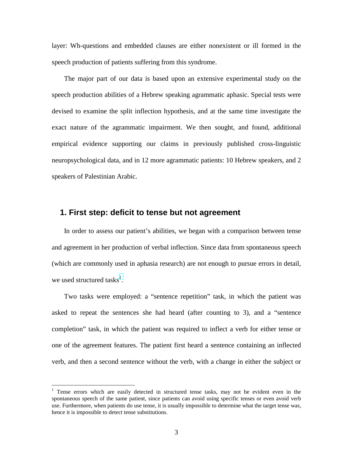layer: Wh-questions and embedded clauses are either nonexistent or ill formed in the speech production of patients suffering from this syndrome.

The major part of our data is based upon an extensive experimental study on the speech production abilities of a Hebrew speaking agrammatic aphasic. Special tests were devised to examine the split inflection hypothesis, and at the same time investigate the exact nature of the agrammatic impairment. We then sought, and found, additional empirical evidence supporting our claims in previously published cross-linguistic neuropsychological data, and in 12 more agrammatic patients: 10 Hebrew speakers, and 2 speakers of Palestinian Arabic.

## **1. First step: deficit to tense but not agreement**

In order to assess our patient's abilities, we began with a comparison between tense and agreement in her production of verbal inflection. Since data from spontaneous speech (which are commonly used in aphasia research) are not enough to pursue errors in detail, we used structured tasks<sup>1</sup>.

Two tasks were employed: a "sentence repetition" task, in which the patient was asked to repeat the sentences she had heard (after counting to 3), and a "sentence completion" task, in which the patient was required to inflect a verb for either tense or one of the agreement features. The patient first heard a sentence containing an inflected verb, and then a second sentence without the verb, with a change in either the subject or

<sup>&</sup>lt;sup>1</sup> Tense errors which are easily detected in structured tense tasks, may not be evident even in the spontaneous speech of the same patient, since patients can avoid using specific tenses or even avoid verb use. Furthermore, when patients do use tense, it is usually impossible to determine what the target tense was, hence it is impossible to detect tense substitutions.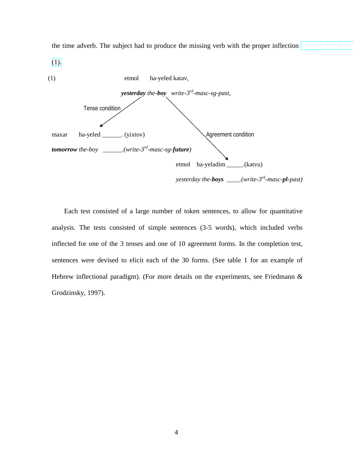

the time adverb. The subject had to produce the missing verb with the proper inflection

Each test consisted of a large number of token sentences, to allow for quantitative analysis. The tests consisted of simple sentences (3-5 words), which included verbs inflected for one of the 3 tenses and one of 10 agreement forms. In the completion test, sentences were devised to elicit each of the 30 forms. (See table 1 for an example of Hebrew inflectional paradigm). (For more details on the experiments, see Friedmann & Grodzinsky, 1997).

4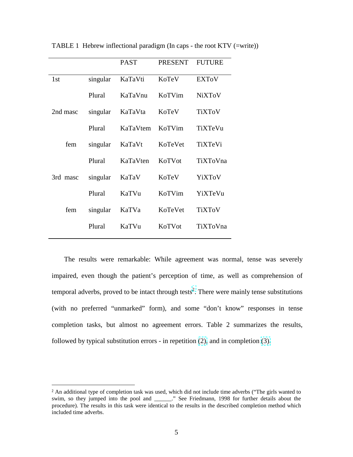|          | <b>PAST</b> | <b>PRESENT</b> | <b>FUTURE</b> |
|----------|-------------|----------------|---------------|
| singular | KaTaVti     | KoTeV          | <b>EXTOV</b>  |
| Plural   | KaTaVnu     | KoTVim         | <b>NiXToV</b> |
| singular | KaTaVta     | KoTeV          | <b>TiXToV</b> |
| Plural   | KaTaVtem    | KoTVim         | TiXTeVu       |
| singular | KaTaVt      | KoTeVet        | TiXTeVi       |
| Plural   | KaTaVten    | KoTVot         | TiXToVna      |
| singular | KaTaV       | KoTeV          | YiXToV        |
| Plural   | KaTVu       | KoTVim         | YiXTeVu       |
| singular | KaTVa       | KoTeVet        | <b>TiXToV</b> |
| Plural   | KaTVu       | KoTVot         | TiXToVna      |
|          |             |                |               |

TABLE 1 Hebrew inflectional paradigm (In caps - the root KTV (=write))

The results were remarkable: While agreement was normal, tense was severely impaired, even though the patient's perception of time, as well as comprehension of temporal adverbs, proved to be intact through tests<sup>2</sup>. There were mainly tense substitutions (with no preferred "unmarked" form), and some "don't know" responses in tense completion tasks, but almost no agreement errors. Table 2 summarizes the results, followed by typical substitution errors - in repetition [\(2\),](#page-5-0) and in completion [\(3\).](#page-5-0)

<sup>&</sup>lt;sup>2</sup> An additional type of completion task was used, which did not include time adverbs ("The girls wanted to swim, so they jumped into the pool and \_\_\_\_\_\_." See Friedmann, 1998 for further details about the procedure). The results in this task were identical to the results in the described completion method which included time adverbs.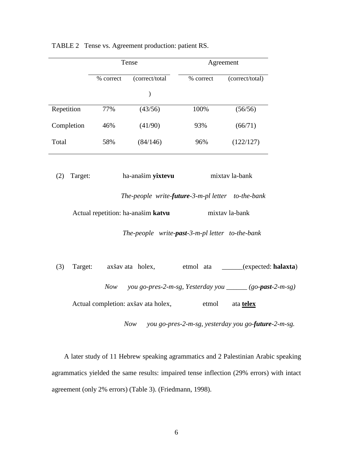|                | Tense     |                                                          |           | Agreement                                                        |
|----------------|-----------|----------------------------------------------------------|-----------|------------------------------------------------------------------|
|                | % correct | (correct/total                                           | % correct | (correct/total)                                                  |
|                |           | $\mathcal{)}$                                            |           |                                                                  |
| Repetition     | 77%       | (43/56)                                                  | 100%      | (56/56)                                                          |
| Completion     | 46%       | (41/90)                                                  | 93%       | (66/71)                                                          |
| Total          | 58%       | (84/146)                                                 | 96%       | (122/127)                                                        |
|                |           |                                                          |           |                                                                  |
| (2)<br>Target: |           | ha-anašim yixtevu                                        |           | mixtav la-bank                                                   |
|                |           | The-people write-future-3-m-pl letter to-the-bank        |           |                                                                  |
|                |           | Actual repetition: ha-anašim katvu                       |           | mixtav la-bank                                                   |
|                |           | The-people write- <b>past</b> -3-m-pl letter to-the-bank |           |                                                                  |
| (3)<br>Target: |           | axšav ata holex,                                         | etmol ata | (expected: halaxta)                                              |
|                | Now       |                                                          |           | you go-pres-2-m-sg, Yesterday you $\frac{1}{2}$ (go-past-2-m-sg) |
|                |           | Actual completion: axšav ata holex,                      | etmol     | ata telex                                                        |

<span id="page-5-0"></span>TABLE 2 Tense vs. Agreement production: patient RS.

 *Now you go-pres-2-m-sg, yesterday you go-future-2-m-sg.* 

A later study of 11 Hebrew speaking agrammatics and 2 Palestinian Arabic speaking agrammatics yielded the same results: impaired tense inflection (29% errors) with intact agreement (only 2% errors) (Table 3). (Friedmann, 1998).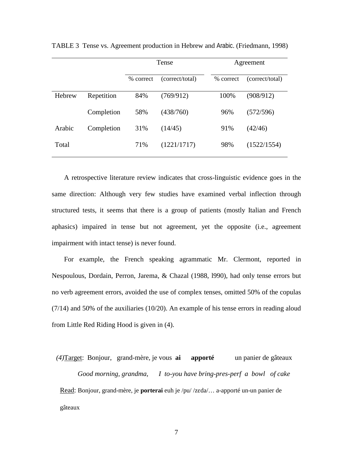|        |            | Tense     |                 | Agreement |                 |
|--------|------------|-----------|-----------------|-----------|-----------------|
|        |            | % correct | (correct/total) | % correct | (correct/total) |
| Hebrew | Repetition | 84%       | (769/912)       | 100%      | (908/912)       |
|        | Completion | 58%       | (438/760)       | 96%       | (572/596)       |
| Arabic | Completion | 31%       | (14/45)         | 91%       | (42/46)         |
| Total  |            | 71%       | (1221/1717)     | 98%       | (1522/1554)     |

TABLE 3 Tense vs. Agreement production in Hebrew and Arabic. (Friedmann, 1998)

A retrospective literature review indicates that cross-linguistic evidence goes in the same direction: Although very few studies have examined verbal inflection through structured tests, it seems that there is a group of patients (mostly Italian and French aphasics) impaired in tense but not agreement, yet the opposite (i.e., agreement impairment with intact tense) is never found.

For example, the French speaking agrammatic Mr. Clermont, reported in Nespoulous, Dordain, Perron, Jarema, & Chazal (1988, l990), had only tense errors but no verb agreement errors, avoided the use of complex tenses, omitted 50% of the copulas (7/14) and 50% of the auxiliaries (10/20). An example of his tense errors in reading aloud from Little Red Riding Hood is given in (4).

*(4)* Target: Bonjour, grand-mère, je vous **ai apporté** un panier de gâteaux  *Good morning, grandma, I to-you have bring-pres-perf a bowl of cake*  Read: Bonjour, grand-mère, je **porterai** euh je /pu/ /zEda/… a-apporté un-un panier de gâteaux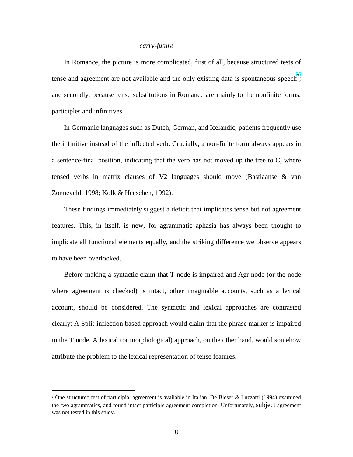## *carry-future*

In Romance, the picture is more complicated, first of all, because structured tests of tense and agreement are not available and the only existing data is spontaneous speech<sup>3</sup>, and secondly, because tense substitutions in Romance are mainly to the nonfinite forms: participles and infinitives.

In Germanic languages such as Dutch, German, and Icelandic, patients frequently use the infinitive instead of the inflected verb. Crucially, a non-finite form always appears in a sentence-final position, indicating that the verb has not moved up the tree to C, where tensed verbs in matrix clauses of V2 languages should move (Bastiaanse & van Zonneveld, 1998; Kolk & Heeschen, 1992).

These findings immediately suggest a deficit that implicates tense but not agreement features. This, in itself, is new, for agrammatic aphasia has always been thought to implicate all functional elements equally, and the striking difference we observe appears to have been overlooked.

Before making a syntactic claim that T node is impaired and Agr node (or the node where agreement is checked) is intact, other imaginable accounts, such as a lexical account, should be considered. The syntactic and lexical approaches are contrasted clearly: A Split-inflection based approach would claim that the phrase marker is impaired in the T node. A lexical (or morphological) approach, on the other hand, would somehow attribute the problem to the lexical representation of tense features.

<sup>3</sup> One structured test of participial agreement is available in Italian. De Bleser & Luzzatti (1994) examined the two agrammatics, and found intact participle agreement completion. Unfortunately, subject agreement was not tested in this study.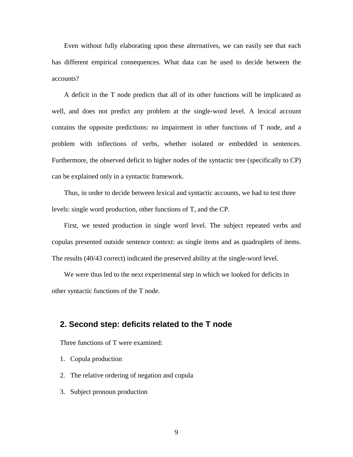Even without fully elaborating upon these alternatives, we can easily see that each has different empirical consequences. What data can be used to decide between the accounts?

A deficit in the T node predicts that all of its other functions will be implicated as well, and does not predict any problem at the single-word level. A lexical account contains the opposite predictions: no impairment in other functions of T node, and a problem with inflections of verbs, whether isolated or embedded in sentences. Furthermore, the observed deficit to higher nodes of the syntactic tree (specifically to CP) can be explained only in a syntactic framework.

Thus, in order to decide between lexical and syntactic accounts, we had to test three levels: single word production, other functions of T, and the CP.

First, we tested production in single word level. The subject repeated verbs and copulas presented outside sentence context: as single items and as quadruplets of items. The results (40/43 correct) indicated the preserved ability at the single-word level.

We were thus led to the next experimental step in which we looked for deficits in other syntactic functions of the T node.

# **2. Second step: deficits related to the T node**

Three functions of T were examined:

- 1. Copula production
- 2. The relative ordering of negation and copula
- 3. Subject pronoun production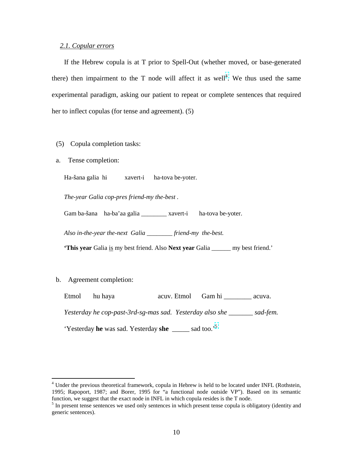### *2.1. Copular errors*

If the Hebrew copula is at T prior to Spell-Out (whether moved, or base-generated there) then impairment to the T node will affect it as well<sup>4</sup>. We thus used the same experimental paradigm, asking our patient to repeat or complete sentences that required her to inflect copulas (for tense and agreement). (5)

- (5) Copula completion tasks:
- a. Tense completion:

Ha-šana galia hi xavert-i ha-tova be-yoter.

*The-year Galia cop-pres friend-my the-best .* 

Gam ba-šana ha-ba'aa galia \_\_\_\_\_\_\_\_ xavert-i ha-tova be-yoter.

*Also in-the-year the-next Galia \_\_\_\_\_\_\_\_ friend-my the-best.* 

**'This year** Galia is my best friend. Also **Next year** Galia \_\_\_\_\_\_ my best friend.'

## b. Agreement completion:

 $\overline{\phantom{a}}$ 

Etmol hu haya acuv. Etmol Gam hi acuva.

*Yesterday he cop-past-3rd-sg-mas sad. Yesterday also she \_\_\_\_\_\_\_ sad-fem.* 

'Yesterday **he** was sad. Yesterday **she** \_\_\_\_\_ sad too.'5

<sup>&</sup>lt;sup>4</sup> Under the previous theoretical framework, copula in Hebrew is held to be located under INFL (Rothstein, 1995; Rapoport, 1987; and Borer, 1995 for "a functional node outside VP"). Based on its semantic function, we suggest that the exact node in INFL in which copula resides is the T node.

<sup>&</sup>lt;sup>5</sup> In present tense sentences we used only sentences in which present tense copula is obligatory (identity and generic sentences).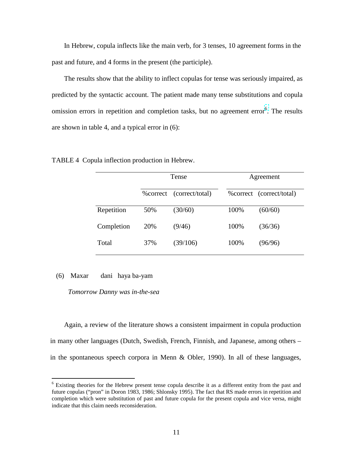In Hebrew, copula inflects like the main verb, for 3 tenses, 10 agreement forms in the past and future, and 4 forms in the present (the participle).

The results show that the ability to inflect copulas for tense was seriously impaired, as predicted by the syntactic account. The patient made many tense substitutions and copula omission errors in repetition and completion tasks, but no agreement error<sup>6</sup>. The results are shown in table 4, and a typical error in (6):

|            | Tense     |                 | Agreement |                           |
|------------|-----------|-----------------|-----------|---------------------------|
|            | % correct | (correct/total) |           | % correct (correct/total) |
| Repetition | 50%       | (30/60)         | 100%      | (60/60)                   |
| Completion | 20%       | (9/46)          | 100%      | (36/36)                   |
| Total      | 37%       | (39/106)        | 100%      | (96/96)                   |

TABLE 4 Copula inflection production in Hebrew.

#### (6) Maxar dani haya ba-yam

 $\overline{\phantom{a}}$ 

*Tomorrow Danny was in-the-sea* 

Again, a review of the literature shows a consistent impairment in copula production in many other languages (Dutch, Swedish, French, Finnish, and Japanese, among others – in the spontaneous speech corpora in Menn & Obler, 1990). In all of these languages,

<sup>&</sup>lt;sup>6</sup> Existing theories for the Hebrew present tense copula describe it as a different entity from the past and future copulas ("pron" in Doron 1983, 1986; Shlonsky 1995). The fact that RS made errors in repetition and completion which were substitution of past and future copula for the present copula and vice versa, might indicate that this claim needs reconsideration.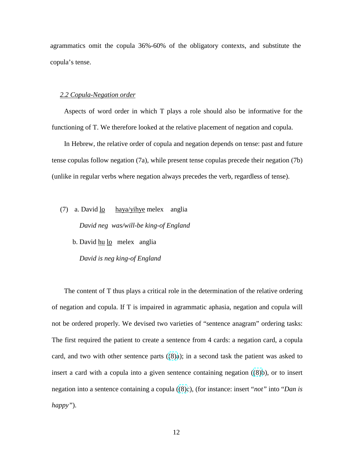agrammatics omit the copula 36%-60% of the obligatory contexts, and substitute the copula's tense.

#### *2.2 Copula-Negation order*

Aspects of word order in which T plays a role should also be informative for the functioning of T. We therefore looked at the relative placement of negation and copula.

In Hebrew, the relative order of copula and negation depends on tense: past and future tense copulas follow negation (7a), while present tense copulas precede their negation (7b) (unlike in regular verbs where negation always precedes the verb, regardless of tense).

(7) a. David  $\frac{lo}{lo}$  haya/yihye melex anglia  *David neg was/will-be king-of England* 

b. David hu lo melex anglia

 *David is neg king-of England* 

The content of T thus plays a critical role in the determination of the relative ordering of negation and copula. If T is impaired in agrammatic aphasia, negation and copula will not be ordered properly. We devised two varieties of "sentence anagram" ordering tasks: The first required the patient to create a sentence from 4 cards: a negation card, a copula card, and two with other sentence parts  $((8)a)$ ; in a second task the patient was asked to insert a card with a copula into a given sentence containing negation  $((8)b)$ , or to insert negation into a sentence containing a copula ((8)c), (for instance: insert "*not*" into "*Dan is happy"*).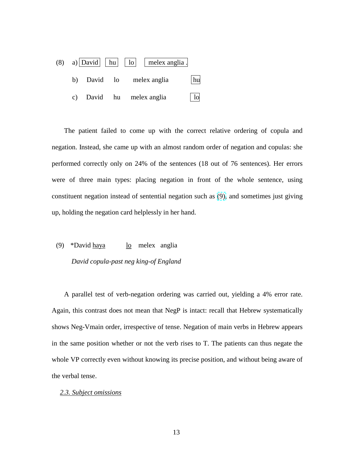<span id="page-12-0"></span>

The patient failed to come up with the correct relative ordering of copula and negation. Instead, she came up with an almost random order of negation and copulas: she performed correctly only on 24% of the sentences (18 out of 76 sentences). Her errors were of three main types: placing negation in front of the whole sentence, using constituent negation instead of sentential negation such as (9), and sometimes just giving up, holding the negation card helplessly in her hand.

(9) \*David <u>haya</u> lo melex anglia  *David copula-past neg king-of England* 

A parallel test of verb-negation ordering was carried out, yielding a 4% error rate. Again, this contrast does not mean that NegP is intact: recall that Hebrew systematically shows Neg-Vmain order, irrespective of tense. Negation of main verbs in Hebrew appears in the same position whether or not the verb rises to T. The patients can thus negate the whole VP correctly even without knowing its precise position, and without being aware of the verbal tense.

#### *2.3. Subject omissions*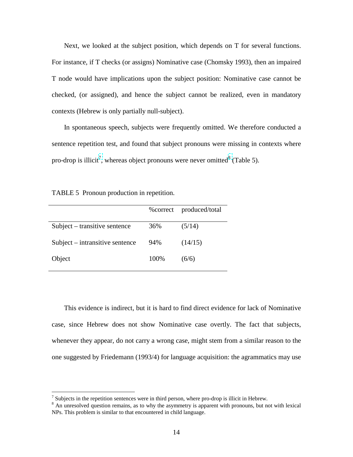Next, we looked at the subject position, which depends on T for several functions. For instance, if T checks (or assigns) Nominative case (Chomsky 1993), then an impaired T node would have implications upon the subject position: Nominative case cannot be checked, (or assigned), and hence the subject cannot be realized, even in mandatory contexts (Hebrew is only partially null-subject).

In spontaneous speech, subjects were frequently omitted. We therefore conducted a sentence repetition test, and found that subject pronouns were missing in contexts where pro-drop is illicit<sup>7</sup>, whereas object pronouns were never omitted<sup>8</sup> (Table 5).

TABLE 5 Pronoun production in repetition.

|                                 | % correct | produced/total |
|---------------------------------|-----------|----------------|
| Subject – transitive sentence   | 36%       | (5/14)         |
| Subject – intransitive sentence | 94%       | (14/15)        |
| Object                          | 100%      | (6/6)          |

This evidence is indirect, but it is hard to find direct evidence for lack of Nominative case, since Hebrew does not show Nominative case overtly. The fact that subjects, whenever they appear, do not carry a wrong case, might stem from a similar reason to the one suggested by Friedemann (1993/4) for language acquisition: the agrammatics may use

 $\frac{7}{8}$  Subjects in the repetition sentences were in third person, where pro-drop is illicit in Hebrew.<br> $\frac{8}{8}$  An unresolved question remains, as to why the asymmetry is apparent with pronouns, but not with lexical NPs. This problem is similar to that encountered in child language.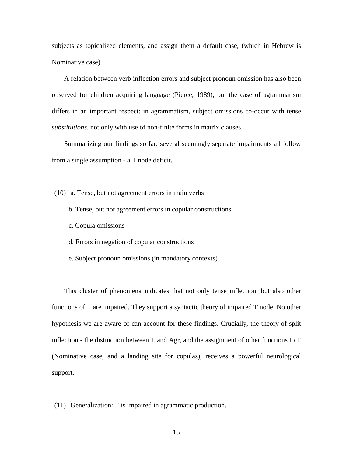subjects as topicalized elements, and assign them a default case, (which in Hebrew is Nominative case).

A relation between verb inflection errors and subject pronoun omission has also been observed for children acquiring language (Pierce, 1989), but the case of agrammatism differs in an important respect: in agrammatism, subject omissions co-occur with tense *substitutions*, not only with use of non-finite forms in matrix clauses.

Summarizing our findings so far, several seemingly separate impairments all follow from a single assumption - a T node deficit.

(10) a. Tense, but not agreement errors in main verbs

- b. Tense, but not agreement errors in copular constructions
- c. Copula omissions
- d. Errors in negation of copular constructions
- e. Subject pronoun omissions (in mandatory contexts)

This cluster of phenomena indicates that not only tense inflection, but also other functions of T are impaired. They support a syntactic theory of impaired T node. No other hypothesis we are aware of can account for these findings. Crucially, the theory of split inflection - the distinction between T and Agr, and the assignment of other functions to T (Nominative case, and a landing site for copulas), receives a powerful neurological support.

(11) Generalization: T is impaired in agrammatic production.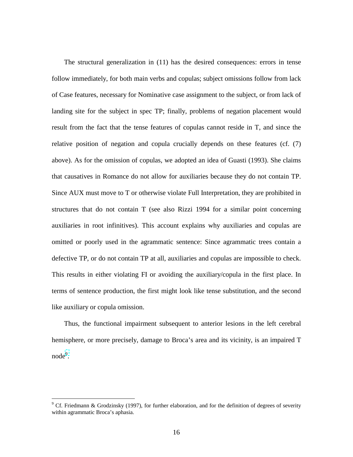The structural generalization in (11) has the desired consequences: errors in tense follow immediately, for both main verbs and copulas; subject omissions follow from lack of Case features, necessary for Nominative case assignment to the subject, or from lack of landing site for the subject in spec TP; finally, problems of negation placement would result from the fact that the tense features of copulas cannot reside in T, and since the relative position of negation and copula crucially depends on these features (cf. (7) above). As for the omission of copulas, we adopted an idea of Guasti (1993). She claims that causatives in Romance do not allow for auxiliaries because they do not contain TP. Since AUX must move to T or otherwise violate Full Interpretation, they are prohibited in structures that do not contain T (see also Rizzi 1994 for a similar point concerning auxiliaries in root infinitives). This account explains why auxiliaries and copulas are omitted or poorly used in the agrammatic sentence: Since agrammatic trees contain a defective TP, or do not contain TP at all, auxiliaries and copulas are impossible to check. This results in either violating FI or avoiding the auxiliary/copula in the first place. In terms of sentence production, the first might look like tense substitution, and the second like auxiliary or copula omission.

Thus, the functional impairment subsequent to anterior lesions in the left cerebral hemisphere, or more precisely, damage to Broca's area and its vicinity, is an impaired T node<sup>9</sup>.

<sup>&</sup>lt;sup>9</sup> Cf. Friedmann & Grodzinsky (1997), for further elaboration, and for the definition of degrees of severity within agrammatic Broca's aphasia.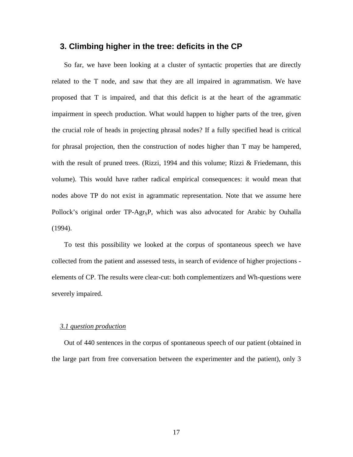## **3. Climbing higher in the tree: deficits in the CP**

So far, we have been looking at a cluster of syntactic properties that are directly related to the T node, and saw that they are all impaired in agrammatism. We have proposed that T is impaired, and that this deficit is at the heart of the agrammatic impairment in speech production. What would happen to higher parts of the tree, given the crucial role of heads in projecting phrasal nodes? If a fully specified head is critical for phrasal projection, then the construction of nodes higher than T may be hampered, with the result of pruned trees. (Rizzi, 1994 and this volume; Rizzi  $\&$  Friedemann, this volume). This would have rather radical empirical consequences: it would mean that nodes above TP do not exist in agrammatic representation. Note that we assume here Pollock's original order TP-Agr<sub>S</sub>P, which was also advocated for Arabic by Ouhalla (1994).

To test this possibility we looked at the corpus of spontaneous speech we have collected from the patient and assessed tests, in search of evidence of higher projections elements of CP. The results were clear-cut: both complementizers and Wh-questions were severely impaired.

#### *3.1 question production*

Out of 440 sentences in the corpus of spontaneous speech of our patient (obtained in the large part from free conversation between the experimenter and the patient), only 3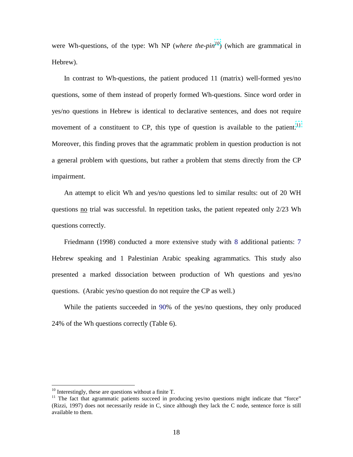were Wh-questions, of the type: Wh NP (*where the-pin*<sup>10</sup>) (which are grammatical in Hebrew).

In contrast to Wh-questions, the patient produced 11 (matrix) well-formed yes/no questions, some of them instead of properly formed Wh-questions. Since word order in yes/no questions in Hebrew is identical to declarative sentences, and does not require movement of a constituent to CP, this type of question is available to the patient.<sup>11</sup> Moreover, this finding proves that the agrammatic problem in question production is not a general problem with questions, but rather a problem that stems directly from the CP impairment.

An attempt to elicit Wh and yes/no questions led to similar results: out of 20 WH questions no trial was successful. In repetition tasks, the patient repeated only 2/23 Wh questions correctly.

Friedmann (1998) conducted a more extensive study with 8 additional patients: 7 Hebrew speaking and 1 Palestinian Arabic speaking agrammatics. This study also presented a marked dissociation between production of Wh questions and yes/no questions. (Arabic yes/no question do not require the CP as well.)

While the patients succeeded in 90% of the yes/no questions, they only produced 24% of the Wh questions correctly (Table 6).

 $10$  Interestingly, these are questions without a finite T.

<sup>&</sup>lt;sup>11</sup> The fact that agrammatic patients succeed in producing yes/no questions might indicate that "force" (Rizzi, 1997) does not necessarily reside in C, since although they lack the C node, sentence force is still available to them.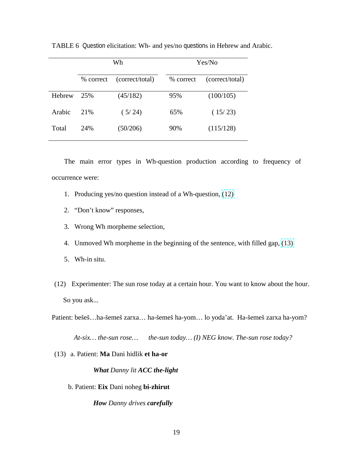|        | Wh        |                 | Yes/No    |                 |
|--------|-----------|-----------------|-----------|-----------------|
|        | % correct | (correct/total) | % correct | (correct/total) |
| Hebrew | 25%       | (45/182)        | 95%       | (100/105)       |
| Arabic | 21\%      | (5/24)          | 65%       | (15/23)         |
| Total  | 24%       | (50/206)        | 90%       | (115/128)       |

TABLE 6 Question elicitation: Wh- and yes/no questions in Hebrew and Arabic.

The main error types in Wh-question production according to frequency of occurrence were:

- 1. Producing yes/no question instead of a Wh-question, (12)
- 2. "Don't know" responses,
- 3. Wrong Wh morpheme selection,
- 4. Unmoved Wh morpheme in the beginning of the sentence, with filled gap, (13)
- 5. Wh-in situ.
- (12) Experimenter: The sun rose today at a certain hour. You want to know about the hour. So you ask...

Patient: bešeš…ha-šemeš zarxa… ha-šemeš ha-yom… lo yoda'at. Ha-šemeš zarxa ha-yom?

 *At-six… the-sun rose… the-sun today… (I) NEG know. The-sun rose today?* 

(13) a. Patient: **Ma** Dani hidlik **et ha-or**

## *What Danny lit ACC the-light*

b. Patient: **Eix** Dani noheg **bi-zhirut**

 *How Danny drives carefully*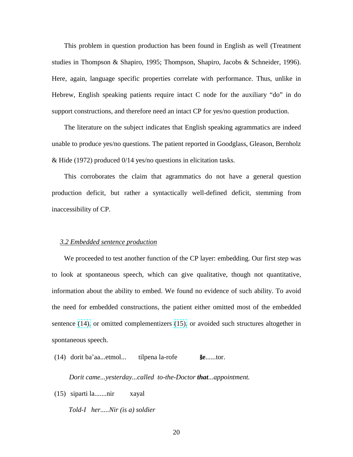This problem in question production has been found in English as well (Treatment studies in Thompson & Shapiro, 1995; Thompson, Shapiro, Jacobs & Schneider, 1996). Here, again, language specific properties correlate with performance. Thus, unlike in Hebrew, English speaking patients require intact C node for the auxiliary "do" in do support constructions, and therefore need an intact CP for yes/no question production.

The literature on the subject indicates that English speaking agrammatics are indeed unable to produce yes/no questions. The patient reported in Goodglass, Gleason, Bernholz & Hide (1972) produced 0/14 yes/no questions in elicitation tasks.

This corroborates the claim that agrammatics do not have a general question production deficit, but rather a syntactically well-defined deficit, stemming from inaccessibility of CP.

### *3.2 Embedded sentence production*

We proceeded to test another function of the CP layer: embedding. Our first step was to look at spontaneous speech, which can give qualitative, though not quantitative, information about the ability to embed. We found no evidence of such ability. To avoid the need for embedded constructions, the patient either omitted most of the embedded sentence (14), or omitted complementizers (15), or avoided such structures altogether in spontaneous speech.

(14) dorit ba'aa...etmol... tilpena la-rofe š**e**......tor.

 *Dorit came...yesterday...called to-the-Doctor that...appointment.* 

(15) siparti la.......nir xayal

 *Told-I her.....Nir (is a) soldier*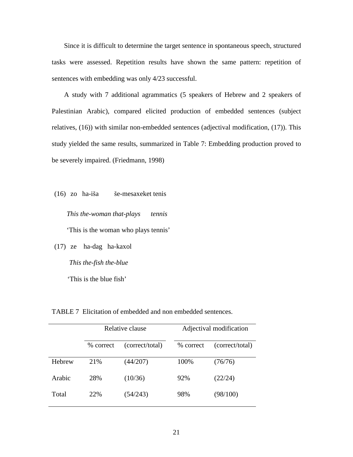Since it is difficult to determine the target sentence in spontaneous speech, structured tasks were assessed. Repetition results have shown the same pattern: repetition of sentences with embedding was only 4/23 successful.

A study with 7 additional agrammatics (5 speakers of Hebrew and 2 speakers of Palestinian Arabic), compared elicited production of embedded sentences (subject relatives, (16)) with similar non-embedded sentences (adjectival modification, (17)). This study yielded the same results, summarized in Table 7: Embedding production proved to be severely impaired. (Friedmann, 1998)

(16) zo ha-iša še-mesaxeket tenis

 *This the-woman that-plays tennis*  'This is the woman who plays tennis'

(17) ze ha-dag ha-kaxol  *This the-fish the-blue* 

'This is the blue fish'

TABLE 7 Elicitation of embedded and non embedded sentences.

|        | Relative clause |                 | Adjectival modification |                 |
|--------|-----------------|-----------------|-------------------------|-----------------|
|        | % correct       | (correct/total) | % correct               | (correct/total) |
| Hebrew | 21%             | (44/207)        | 100%                    | (76/76)         |
| Arabic | 28%             | (10/36)         | 92%                     | (22/24)         |
| Total  | 22%             | (54/243)        | 98%                     | (98/100)        |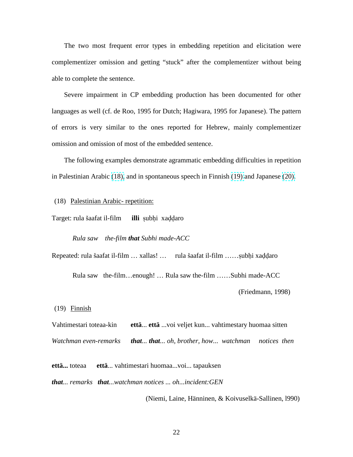The two most frequent error types in embedding repetition and elicitation were complementizer omission and getting "stuck" after the complementizer without being able to complete the sentence.

Severe impairment in CP embedding production has been documented for other languages as well (cf. de Roo, 1995 for Dutch; Hagiwara, 1995 for Japanese). The pattern of errors is very similar to the ones reported for Hebrew, mainly complementizer omission and omission of most of the embedded sentence.

The following examples demonstrate agrammatic embedding difficulties in repetition in Palestinian Arabic (18), and in spontaneous speech in Finnish (19) and Japanese [\(20\).](#page-22-0)

(18) Palestinian Arabic- repetition:

Target: rula šaafat il-film **illi** subhi xaddaro

 *Rula saw the-film that Subhi made-ACC* 

Repeated: rula šaafat il-film ... xallas! ... rula šaafat il-film ......subhi xaddaro

Rula saw the-film…enough! … Rula saw the-film ……Subhi made-ACC

(Friedmann, 1998)

(19) Finnish

Vahtimestari toteaa-kin **että**... **että** ...voi veljet kun... vahtimestary huomaa sitten *Watchman even-remarks that... that... oh, brother, how... watchman notices then* 

**että...** toteaa **että**... vahtimestari huomaa...voi... tapauksen

*that... remarks that...watchman notices ... oh...incident:GEN* 

(Niemi, Laine, Hänninen, & Koivuselkä-Sallinen, l990)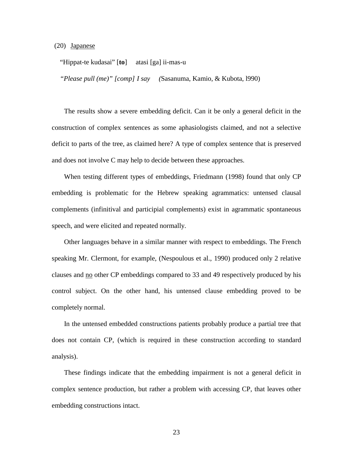#### <span id="page-22-0"></span>(20) Japanese

"Hippat-te kudasai" [**to**] atasi [ga] ii-mas-u

*"Please pull (me)" [comp] I say (*Sasanuma, Kamio, & Kubota, l990)

The results show a severe embedding deficit. Can it be only a general deficit in the construction of complex sentences as some aphasiologists claimed, and not a selective deficit to parts of the tree, as claimed here? A type of complex sentence that is preserved and does not involve C may help to decide between these approaches.

When testing different types of embeddings, Friedmann (1998) found that only CP embedding is problematic for the Hebrew speaking agrammatics: untensed clausal complements (infinitival and participial complements) exist in agrammatic spontaneous speech, and were elicited and repeated normally.

Other languages behave in a similar manner with respect to embeddings. The French speaking Mr. Clermont, for example, (Nespoulous et al., 1990) produced only 2 relative clauses and no other CP embeddings compared to 33 and 49 respectively produced by his control subject. On the other hand, his untensed clause embedding proved to be completely normal.

In the untensed embedded constructions patients probably produce a partial tree that does not contain CP, (which is required in these construction according to standard analysis).

These findings indicate that the embedding impairment is not a general deficit in complex sentence production, but rather a problem with accessing CP, that leaves other embedding constructions intact.

23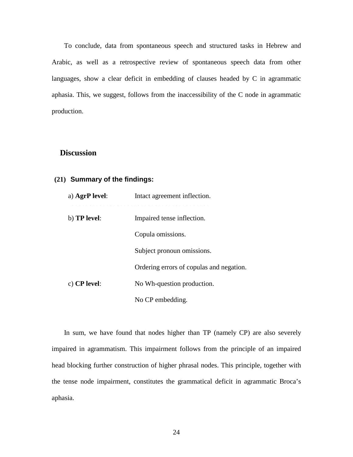<span id="page-23-0"></span>To conclude, data from spontaneous speech and structured tasks in Hebrew and Arabic, as well as a retrospective review of spontaneous speech data from other languages, show a clear deficit in embedding of clauses headed by C in agrammatic aphasia. This, we suggest, follows from the inaccessibility of the C node in agrammatic production.

## **Discussion**

## **(21) Summary of the findings:**

| a) AgrP level:      | Intact agreement inflection.             |
|---------------------|------------------------------------------|
| b) <b>TP</b> level: | Impaired tense inflection.               |
|                     | Copula omissions.                        |
|                     | Subject pronoun omissions.               |
|                     | Ordering errors of copulas and negation. |
| c) $CP$ level:      | No Wh-question production.               |
|                     | No CP embedding.                         |

In sum, we have found that nodes higher than TP (namely CP) are also severely impaired in agrammatism. This impairment follows from the principle of an impaired head blocking further construction of higher phrasal nodes. This principle, together with the tense node impairment, constitutes the grammatical deficit in agrammatic Broca's aphasia.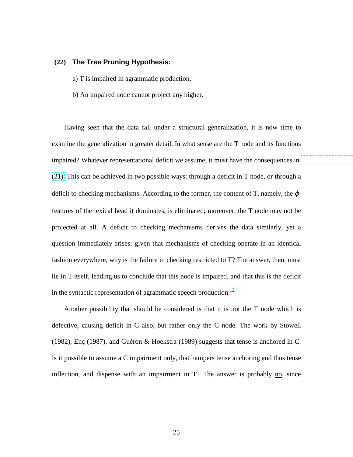#### **(22) The Tree Pruning Hypothesis:**

- a) T is impaired in agrammatic production.
- b) An impaired node cannot project any higher.

Having seen that the data fall under a structural generalization, it is now time to examine the generalization in greater detail. In what sense are the T node and its functions impaired? Whatever representational deficit we assume, it must have the consequences in [\(21\).](#page-23-0) This can be achieved in two possible ways: through a deficit in T node, or through a deficit to checking mechanisms. According to the former, the content of T, namely, the  $\varphi$ features of the lexical head it dominates, is eliminated; moreover, the T node may not be projected at all. A deficit to checking mechanisms derives the data similarly, yet a question immediately arises: given that mechanisms of checking operate in an identical fashion everywhere, why is the failure in checking restricted to T? The answer, then, must lie in T itself, leading us to conclude that this node is impaired, and that this is the deficit in the syntactic representation of agrammatic speech production.<sup>12</sup>

Another possibility that should be considered is that it is not the T node which is defective, causing deficit in C also, but rather only the C node. The work by Stowell (1982), Enç (1987), and Guéron & Hoekstra (1989) suggests that tense is anchored in C. Is it possible to assume a C impairment only, that hampers tense anchoring and thus tense inflection, and dispense with an impairment in  $T$ ? The answer is probably no, since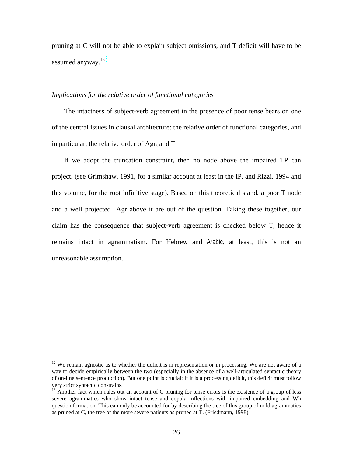pruning at C will not be able to explain subject omissions, and T deficit will have to be assumed anyway.<sup>13</sup>

## *Implications for the relative order of functional categories*

The intactness of subject-verb agreement in the presence of poor tense bears on one of the central issues in clausal architecture: the relative order of functional categories, and in particular, the relative order of  $\text{Agr}_s$  and T.

If we adopt the truncation constraint, then no node above the impaired TP can project. (see Grimshaw, 1991, for a similar account at least in the IP, and Rizzi, 1994 and this volume, for the root infinitive stage). Based on this theoretical stand, a poor T node and a well projected Agr above it are out of the question. Taking these together, our claim has the consequence that subject-verb agreement is checked below T, hence it remains intact in agrammatism. For Hebrew and Arabic, at least, this is not an unreasonable assumption.

<u>.</u>

 $12$  We remain agnostic as to whether the deficit is in representation or in processing. We are not aware of a way to decide empirically between the two (especially in the absence of a well-articulated syntactic theory of on-line sentence production). But one point is crucial: if it is a processing deficit, this deficit must follow very strict syntactic constrains.

<sup>&</sup>lt;sup>13</sup> Another fact which rules out an account of C pruning for tense errors is the existence of a group of less severe agrammatics who show intact tense and copula inflections with impaired embedding and Wh question formation. This can only be accounted for by describing the tree of this group of mild agrammatics as pruned at C, the tree of the more severe patients as pruned at T. (Friedmann, 1998)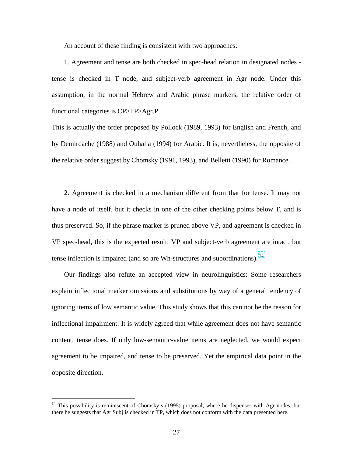An account of these finding is consistent with two approaches:

1. Agreement and tense are both checked in spec-head relation in designated nodes tense is checked in T node, and subject-verb agreement in Agr node. Under this assumption, in the normal Hebrew and Arabic phrase markers, the relative order of functional categories is CP>TP>Agr<sub>s</sub>P.

This is actually the order proposed by Pollock (1989, 1993) for English and French, and by Demirdache (1988) and Ouhalla (1994) for Arabic. It is, nevertheless, the opposite of the relative order suggest by Chomsky (1991, 1993), and Belletti (1990) for Romance.

2. Agreement is checked in a mechanism different from that for tense. It may not have a node of itself, but it checks in one of the other checking points below T, and is thus preserved. So, if the phrase marker is pruned above VP, and agreement is checked in VP spec-head, this is the expected result: VP and subject-verb agreement are intact, but tense inflection is impaired (and so are Wh-structures and subordinations).  $<sup>14</sup>$ </sup>

Our findings also refute an accepted view in neurolinguistics: Some researchers explain inflectional marker omissions and substitutions by way of a general tendency of ignoring items of low semantic value. This study shows that this can not be the reason for inflectional impairment: It is widely agreed that while agreement does not have semantic content, tense does. If only low-semantic-value items are neglected, we would expect agreement to be impaired, and tense to be preserved. Yet the empirical data point in the opposite direction.

 $14$  This possibility is reminiscent of Chomsky's (1995) proposal, where he dispenses with Agr nodes, but there he suggests that Agr Subj is checked in TP, which does not conform with the data presented here.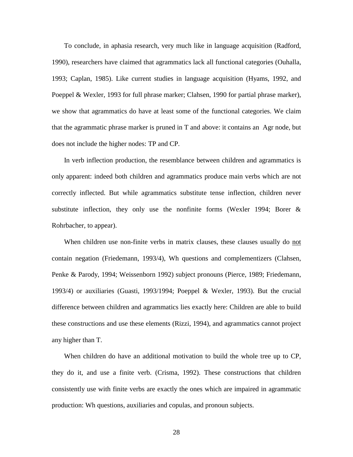To conclude, in aphasia research, very much like in language acquisition (Radford, 1990), researchers have claimed that agrammatics lack all functional categories (Ouhalla, 1993; Caplan, 1985). Like current studies in language acquisition (Hyams, 1992, and Poeppel & Wexler, 1993 for full phrase marker; Clahsen, 1990 for partial phrase marker), we show that agrammatics do have at least some of the functional categories. We claim that the agrammatic phrase marker is pruned in T and above: it contains an Agr node, but does not include the higher nodes: TP and CP.

In verb inflection production, the resemblance between children and agrammatics is only apparent: indeed both children and agrammatics produce main verbs which are not correctly inflected. But while agrammatics substitute tense inflection, children never substitute inflection, they only use the nonfinite forms (Wexler 1994; Borer & Rohrbacher, to appear).

When children use non-finite verbs in matrix clauses, these clauses usually do not contain negation (Friedemann, 1993/4), Wh questions and complementizers (Clahsen, Penke & Parody, 1994; Weissenborn 1992) subject pronouns (Pierce, 1989; Friedemann, 1993/4) or auxiliaries (Guasti, 1993/1994; Poeppel & Wexler, 1993). But the crucial difference between children and agrammatics lies exactly here: Children are able to build these constructions and use these elements (Rizzi, 1994), and agrammatics cannot project any higher than T.

When children do have an additional motivation to build the whole tree up to CP, they do it, and use a finite verb. (Crisma, 1992). These constructions that children consistently use with finite verbs are exactly the ones which are impaired in agrammatic production: Wh questions, auxiliaries and copulas, and pronoun subjects.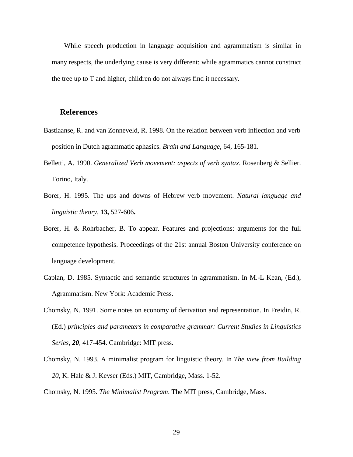While speech production in language acquisition and agrammatism is similar in many respects, the underlying cause is very different: while agrammatics cannot construct the tree up to T and higher, children do not always find it necessary.

## **References**

- Bastiaanse, R. and van Zonneveld, R. 1998. On the relation between verb inflection and verb position in Dutch agrammatic aphasics. *Brain and Language,* 64, 165-181.
- Belletti, A. 1990. *Generalized Verb movement: aspects of verb syntax*. Rosenberg & Sellier. Torino, Italy.
- Borer, H. 1995. The ups and downs of Hebrew verb movement. *Natural language and linguistic theory*, **13,** 527-606**.**
- Borer, H. & Rohrbacher, B. To appear. Features and projections: arguments for the full competence hypothesis. Proceedings of the 21st annual Boston University conference on language development.
- Caplan, D. 1985. Syntactic and semantic structures in agrammatism. In M.-L Kean, (Ed.), Agrammatism. New York: Academic Press.
- Chomsky, N. 1991. Some notes on economy of derivation and representation. In Freidin, R. (Ed.) *principles and parameters in comparative grammar: Current Studies in Linguistics Series, 20,* 417-454. Cambridge: MIT press.
- Chomsky, N. 1993. A minimalist program for linguistic theory. In *The view from Building 20*, K. Hale & J. Keyser (Eds.) MIT, Cambridge, Mass. 1-52.

Chomsky, N. 1995. *The Minimalist Program*. The MIT press, Cambridge, Mass.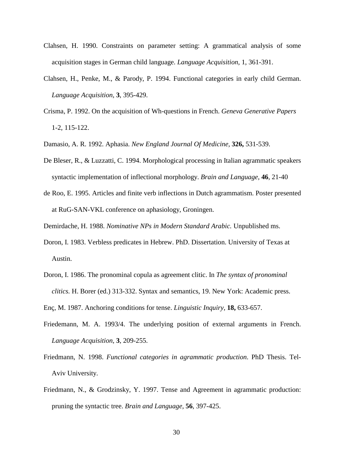- Clahsen, H. 1990. Constraints on parameter setting: A grammatical analysis of some acquisition stages in German child language. *Language Acquisition*, 1, 361-391.
- Clahsen, H., Penke, M., & Parody, P. 1994. Functional categories in early child German. *Language Acquisition*, **3**, 395-429.
- Crisma, P. 1992. On the acquisition of Wh-questions in French. *Geneva Generative Papers* 1-2, 115-122.
- Damasio, A. R. 1992. Aphasia. *New England Journal Of Medicine,* **326,** 531-539.
- De Bleser, R., & Luzzatti, C. 1994. Morphological processing in Italian agrammatic speakers syntactic implementation of inflectional morphology. *Brain and Language,* **46**, 21-40
- de Roo, E. 1995. Articles and finite verb inflections in Dutch agrammatism. Poster presented at RuG-SAN-VKL conference on aphasiology, Groningen.
- Demirdache, H. 1988. *Nominative NPs in Modern Standard Arabic.* Unpublished ms.
- Doron, I. 1983. Verbless predicates in Hebrew. PhD. Dissertation. University of Texas at Austin.
- Doron, I. 1986. The pronominal copula as agreement clitic. In *The syntax of pronominal clitics.* H. Borer (ed.) 313-332. Syntax and semantics, 19. New York: Academic press.
- Enç, M. 1987. Anchoring conditions for tense. *Linguistic Inquiry*, **18,** 633-657.
- Friedemann, M. A. 1993/4. The underlying position of external arguments in French. *Language Acquisition*, **3**, 209-255.
- Friedmann, N. 1998. *Functional categories in agrammatic production*. PhD Thesis. Tel-Aviv University.
- Friedmann, N., & Grodzinsky, Y. 1997. Tense and Agreement in agrammatic production: pruning the syntactic tree. *Brain and Language,* **56**, 397-425.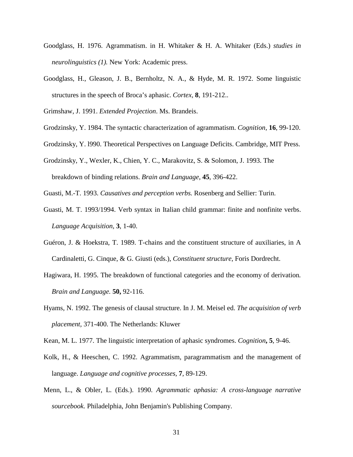- Goodglass, H. 1976. Agrammatism. in H. Whitaker & H. A. Whitaker (Eds.) *studies in neurolinguistics (1).* New York: Academic press.
- Goodglass, H., Gleason, J. B., Bernholtz, N. A., & Hyde, M. R. 1972. Some linguistic structures in the speech of Broca's aphasic. *Cortex,* **8**, 191-212..

Grimshaw, J. 1991. *Extended Projection*. Ms. Brandeis.

- Grodzinsky, Y. 1984. The syntactic characterization of agrammatism. *Cognition,* **16**, 99-120.
- Grodzinsky, Y. l990. Theoretical Perspectives on Language Deficits. Cambridge, MIT Press.
- Grodzinsky, Y., Wexler, K., Chien, Y. C., Marakovitz, S. & Solomon, J. 1993. The breakdown of binding relations. *Brain and Language*, **45**, 396-422.
- Guasti, M.-T. 1993. *Causatives and perception verbs.* Rosenberg and Sellier: Turin.
- Guasti, M. T. 1993/1994. Verb syntax in Italian child grammar: finite and nonfinite verbs. *Language Acquisition*, **3**, 1-40.
- Guéron, J. & Hoekstra, T. 1989. T-chains and the constituent structure of auxiliaries, in A Cardinaletti, G. Cinque, & G. Giusti (eds.), *Constituent structure*, Foris Dordrecht.
- Hagiwara, H. 1995. The breakdown of functional categories and the economy of derivation*. Brain and Language.* **50,** 92-116.
- Hyams, N. 1992. The genesis of clausal structure. In J. M. Meisel ed. *The acquisition of verb placement,* 371-400. The Netherlands: Kluwer
- Kean, M. L. 1977. The linguistic interpretation of aphasic syndromes. *Cognition***, 5**, 9-46.
- Kolk, H., & Heeschen, C. 1992. Agrammatism, paragrammatism and the management of language. *Language and cognitive processes,* **7***,* 89-129.
- Menn, L., & Obler, L. (Eds.). 1990. *Agrammatic aphasia: A cross-language narrative sourcebook.* Philadelphia, John Benjamin's Publishing Company.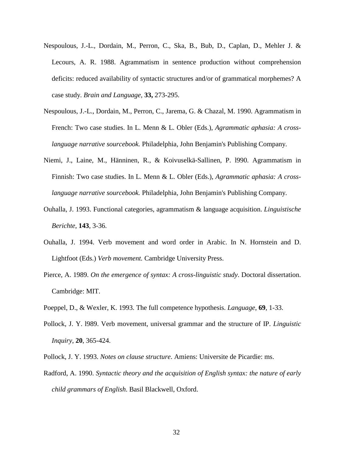- Nespoulous, J.-L., Dordain, M., Perron, C., Ska, B., Bub, D., Caplan, D., Mehler J. & Lecours, A. R. 1988. Agrammatism in sentence production without comprehension deficits: reduced availability of syntactic structures and/or of grammatical morphemes? A case study. *Brain and Language,* **33,** 273-295.
- Nespoulous, J.-L., Dordain, M., Perron, C., Jarema, G. & Chazal, M. 1990. Agrammatism in French: Two case studies. In L. Menn & L. Obler (Eds.), *Agrammatic aphasia: A crosslanguage narrative sourcebook.* Philadelphia, John Benjamin's Publishing Company.
- Niemi, J., Laine, M., Hänninen, R., & Koivuselkä-Sallinen, P. l990. Agrammatism in Finnish: Two case studies. In L. Menn & L. Obler (Eds.), *Agrammatic aphasia: A crosslanguage narrative sourcebook.* Philadelphia, John Benjamin's Publishing Company.
- Ouhalla, J. 1993. Functional categories, agrammatism & language acquisition. *Linguistische Berichte*, **143**, 3-36.
- Ouhalla, J. 1994. Verb movement and word order in Arabic. In N. Hornstein and D. Lightfoot (Eds.) *Verb movement.* Cambridge University Press.
- Pierce, A. 1989. *On the emergence of syntax: A cross-linguistic study*. Doctoral dissertation. Cambridge: MIT.
- Poeppel, D., & Wexler, K. 1993. The full competence hypothesis. *Language*, **69**, 1-33.
- Pollock, J. Y. l989. Verb movement, universal grammar and the structure of IP. *Linguistic Inquiry*, **20**, 365-424.
- Pollock, J. Y. 1993. *Notes on clause structure*. Amiens: Universite de Picardie: ms.
- Radford, A. 1990. *Syntactic theory and the acquisition of English syntax: the nature of early child grammars of English*. Basil Blackwell, Oxford.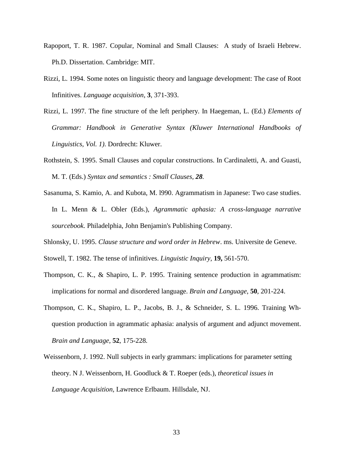- Rapoport, T. R. 1987. Copular, Nominal and Small Clauses: A study of Israeli Hebrew. Ph.D. Dissertation. Cambridge: MIT.
- Rizzi, L. 1994. Some notes on linguistic theory and language development: The case of Root Infinitives. *Language acquisition*, **3**, 371-393.
- Rizzi, L. 1997. The fine structure of the left periphery. In Haegeman, L. (Ed.) *Elements of Grammar: Handbook in Generative Syntax (Kluwer International Handbooks of Linguistics, Vol. 1)*. Dordrecht: Kluwer.
- Rothstein, S. 1995. Small Clauses and copular constructions. In Cardinaletti, A. and Guasti, M. T. (Eds.) *Syntax and semantics : Small Clauses, 28.*
- Sasanuma, S. Kamio, A. and Kubota, M. l990. Agrammatism in Japanese: Two case studies. In L. Menn & L. Obler (Eds.), *Agrammatic aphasia: A cross-language narrative sourcebook.* Philadelphia, John Benjamin's Publishing Company.
- Shlonsky, U. 1995. *Clause structure and word order in Hebrew*. ms. Universite de Geneve.
- Stowell, T. 1982. The tense of infinitives. *Linguistic Inquiry*, **19,** 561-570.
- Thompson, C. K., & Shapiro, L. P. 1995. Training sentence production in agrammatism: implications for normal and disordered language. *Brain and Language*, **50**, 201-224.
- Thompson, C. K., Shapiro, L. P., Jacobs, B. J., & Schneider, S. L. 1996. Training Whquestion production in agrammatic aphasia: analysis of argument and adjunct movement. *Brain and Language*, **52**, 175-228*.*
- Weissenborn, J. 1992. Null subjects in early grammars: implications for parameter setting theory. N J. Weissenborn, H. Goodluck & T. Roeper (eds.), *theoretical issues in Language Acquisition,* Lawrence Erlbaum. Hillsdale, NJ.